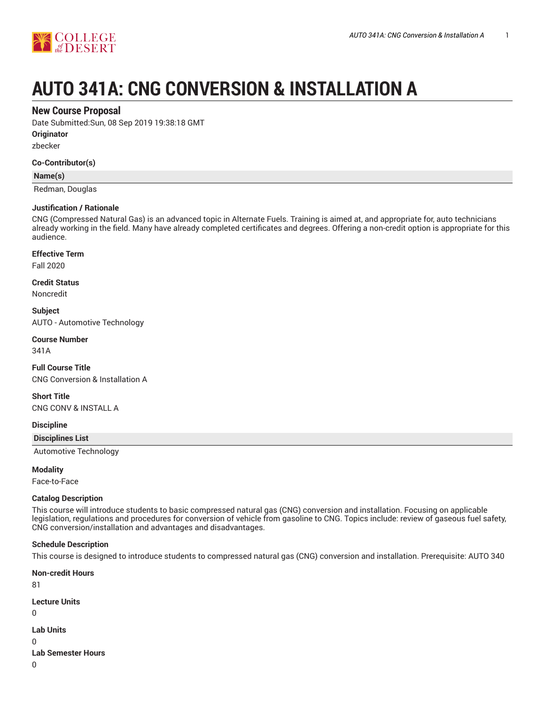

# **AUTO 341A: CNG CONVERSION & INSTALLATION A**

## **New Course Proposal**

Date Submitted:Sun, 08 Sep 2019 19:38:18 GMT

**Originator**

zbecker

#### **Co-Contributor(s)**

**Name(s)**

Redman, Douglas

#### **Justification / Rationale**

CNG (Compressed Natural Gas) is an advanced topic in Alternate Fuels. Training is aimed at, and appropriate for, auto technicians already working in the field. Many have already completed certificates and degrees. Offering a non-credit option is appropriate for this audience.

## **Effective Term**

Fall 2020

#### **Credit Status**

Noncredit

**Subject** AUTO - Automotive Technology

## **Course Number**

341A

## **Full Course Title** CNG Conversion & Installation A

**Short Title**

CNG CONV & INSTALL A

## **Discipline**

**Disciplines List**

Automotive Technology

## **Modality**

Face-to-Face

## **Catalog Description**

This course will introduce students to basic compressed natural gas (CNG) conversion and installation. Focusing on applicable legislation, regulations and procedures for conversion of vehicle from gasoline to CNG. Topics include: review of gaseous fuel safety, CNG conversion/installation and advantages and disadvantages.

## **Schedule Description**

This course is designed to introduce students to compressed natural gas (CNG) conversion and installation. Prerequisite: AUTO 340

**Non-credit Hours** 81 **Lecture Units** 0 **Lab Units** 0 **Lab Semester Hours**

0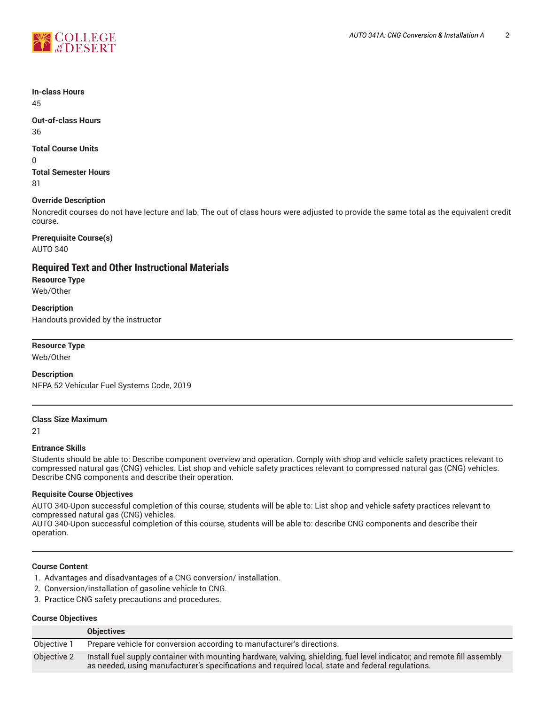

#### **In-class Hours** 45

**Out-of-class Hours** 36

## **Total Course Units**

0

**Total Semester Hours** 81

## **Override Description**

Noncredit courses do not have lecture and lab. The out of class hours were adjusted to provide the same total as the equivalent credit course.

## **Prerequisite Course(s)**

AUTO 340

## **Required Text and Other Instructional Materials**

**Resource Type** Web/Other

**Description** Handouts provided by the instructor

## **Resource Type**

Web/Other

## **Description**

NFPA 52 Vehicular Fuel Systems Code, 2019

#### **Class Size Maximum**

21

## **Entrance Skills**

Students should be able to: Describe component overview and operation. Comply with shop and vehicle safety practices relevant to compressed natural gas (CNG) vehicles. List shop and vehicle safety practices relevant to compressed natural gas (CNG) vehicles. Describe CNG components and describe their operation.

## **Requisite Course Objectives**

AUTO 340-Upon successful completion of this course, students will be able to: List shop and vehicle safety practices relevant to compressed natural gas (CNG) vehicles.

AUTO 340-Upon successful completion of this course, students will be able to: describe CNG components and describe their operation.

## **Course Content**

- 1. Advantages and disadvantages of a CNG conversion/ installation.
- 2. Conversion/installation of gasoline vehicle to CNG.
- 3. Practice CNG safety precautions and procedures.

#### **Course Objectives**

|             | <b>Objectives</b>                                                                                                                                                                                                             |
|-------------|-------------------------------------------------------------------------------------------------------------------------------------------------------------------------------------------------------------------------------|
| Objective 1 | Prepare vehicle for conversion according to manufacturer's directions.                                                                                                                                                        |
| Objective 2 | Install fuel supply container with mounting hardware, valving, shielding, fuel level indicator, and remote fill assembly<br>as needed, using manufacturer's specifications and required local, state and federal regulations. |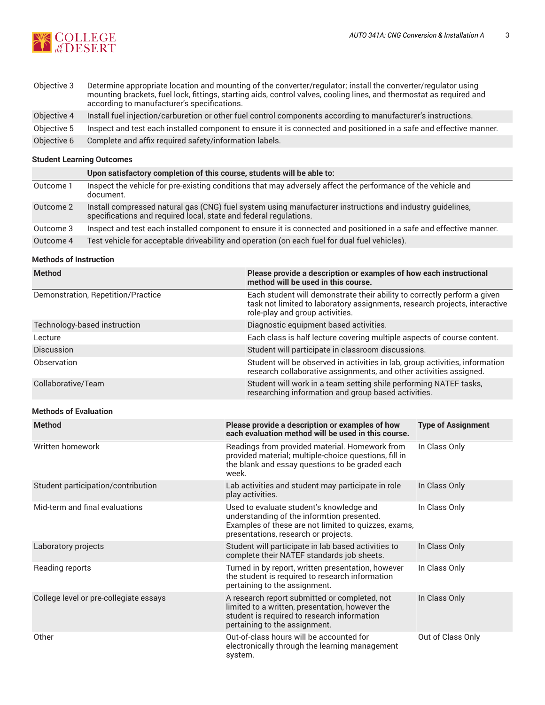

Objective 3 Determine appropriate location and mounting of the converter/regulator; install the converter/regulator using mounting brackets, fuel lock, fittings, starting aids, control valves, cooling lines, and thermostat as required and according to manufacturer's specifications. Objective 4 Install fuel injection/carburetion or other fuel control components according to manufacturer's instructions. Objective 5 Inspect and test each installed component to ensure it is connected and positioned in a safe and effective manner. Objective 6 Complete and affix required safety/information labels.

## **Student Learning Outcomes**

|           | Upon satisfactory completion of this course, students will be able to:                                                                                                         |
|-----------|--------------------------------------------------------------------------------------------------------------------------------------------------------------------------------|
| Outcome 1 | Inspect the vehicle for pre-existing conditions that may adversely affect the performance of the vehicle and<br>document.                                                      |
| Outcome 2 | Install compressed natural gas (CNG) fuel system using manufacturer instructions and industry guidelines,<br>specifications and required local, state and federal regulations. |
| Outcome 3 | Inspect and test each installed component to ensure it is connected and positioned in a safe and effective manner.                                                             |
| Outcome 4 | Test vehicle for acceptable driveability and operation (on each fuel for dual fuel vehicles).                                                                                  |

## **Methods of Instruction**

| <b>Method</b>                          | Please provide a description or examples of how each instructional<br>method will be used in this course.                                                                                 |                                                                         |  |  |  |
|----------------------------------------|-------------------------------------------------------------------------------------------------------------------------------------------------------------------------------------------|-------------------------------------------------------------------------|--|--|--|
| Demonstration, Repetition/Practice     | Each student will demonstrate their ability to correctly perform a given<br>task not limited to laboratory assignments, research projects, interactive<br>role-play and group activities. |                                                                         |  |  |  |
| Technology-based instruction           | Diagnostic equipment based activities.                                                                                                                                                    |                                                                         |  |  |  |
| Lecture                                |                                                                                                                                                                                           | Each class is half lecture covering multiple aspects of course content. |  |  |  |
| Discussion                             | Student will participate in classroom discussions.                                                                                                                                        |                                                                         |  |  |  |
| Observation                            | Student will be observed in activities in lab, group activities, information<br>research collaborative assignments, and other activities assigned.                                        |                                                                         |  |  |  |
| Collaborative/Team                     | Student will work in a team setting shile performing NATEF tasks,<br>researching information and group based activities.                                                                  |                                                                         |  |  |  |
| <b>Methods of Evaluation</b>           |                                                                                                                                                                                           |                                                                         |  |  |  |
| <b>Method</b>                          | Please provide a description or examples of how<br>each evaluation method will be used in this course.                                                                                    | <b>Type of Assignment</b>                                               |  |  |  |
| Written homework                       | Readings from provided material. Homework from<br>provided material; multiple-choice questions, fill in<br>the blank and essay questions to be graded each<br>week.                       | In Class Only                                                           |  |  |  |
| Student participation/contribution     | Lab activities and student may participate in role<br>play activities.                                                                                                                    | In Class Only                                                           |  |  |  |
| Mid-term and final evaluations         | Used to evaluate student's knowledge and<br>understanding of the informtion presented.<br>Examples of these are not limited to quizzes, exams,<br>presentations, research or projects.    | In Class Only                                                           |  |  |  |
| Laboratory projects                    | Student will participate in lab based activities to<br>complete their NATEF standards job sheets.                                                                                         | In Class Only                                                           |  |  |  |
| Reading reports                        | Turned in by report, written presentation, however<br>the student is required to research information<br>pertaining to the assignment.                                                    | In Class Only                                                           |  |  |  |
| College level or pre-collegiate essays | A research report submitted or completed, not<br>limited to a written, presentation, however the<br>student is required to research information<br>pertaining to the assignment.          | In Class Only                                                           |  |  |  |
| Other                                  | Out-of-class hours will be accounted for<br>electronically through the learning management<br>system.                                                                                     | Out of Class Only                                                       |  |  |  |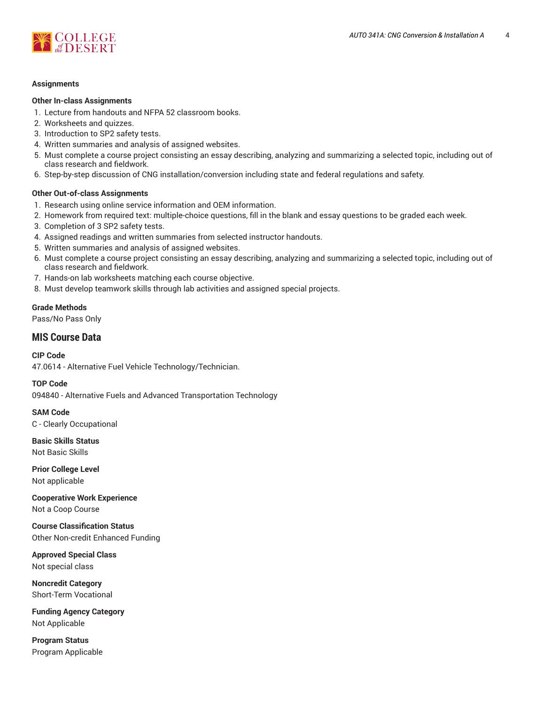



#### **Assignments**

#### **Other In-class Assignments**

- 1. Lecture from handouts and NFPA 52 classroom books.
- 2. Worksheets and quizzes.
- 3. Introduction to SP2 safety tests.
- 4. Written summaries and analysis of assigned websites.
- 5. Must complete a course project consisting an essay describing, analyzing and summarizing a selected topic, including out of class research and fieldwork.
- 6. Step-by-step discussion of CNG installation/conversion including state and federal regulations and safety.

#### **Other Out-of-class Assignments**

- 1. Research using online service information and OEM information.
- 2. Homework from required text: multiple-choice questions, fill in the blank and essay questions to be graded each week.
- 3. Completion of 3 SP2 safety tests.
- 4. Assigned readings and written summaries from selected instructor handouts.
- 5. Written summaries and analysis of assigned websites.
- 6. Must complete a course project consisting an essay describing, analyzing and summarizing a selected topic, including out of class research and fieldwork.
- 7. Hands-on lab worksheets matching each course objective.
- 8. Must develop teamwork skills through lab activities and assigned special projects.

## **Grade Methods**

Pass/No Pass Only

## **MIS Course Data**

#### **CIP Code**

47.0614 - Alternative Fuel Vehicle Technology/Technician.

#### **TOP Code**

094840 - Alternative Fuels and Advanced Transportation Technology

**SAM Code** C - Clearly Occupational

**Basic Skills Status** Not Basic Skills

**Prior College Level** Not applicable

**Cooperative Work Experience** Not a Coop Course

**Course Classification Status** Other Non-credit Enhanced Funding

**Approved Special Class** Not special class

**Noncredit Category** Short-Term Vocational

**Funding Agency Category** Not Applicable

**Program Status** Program Applicable